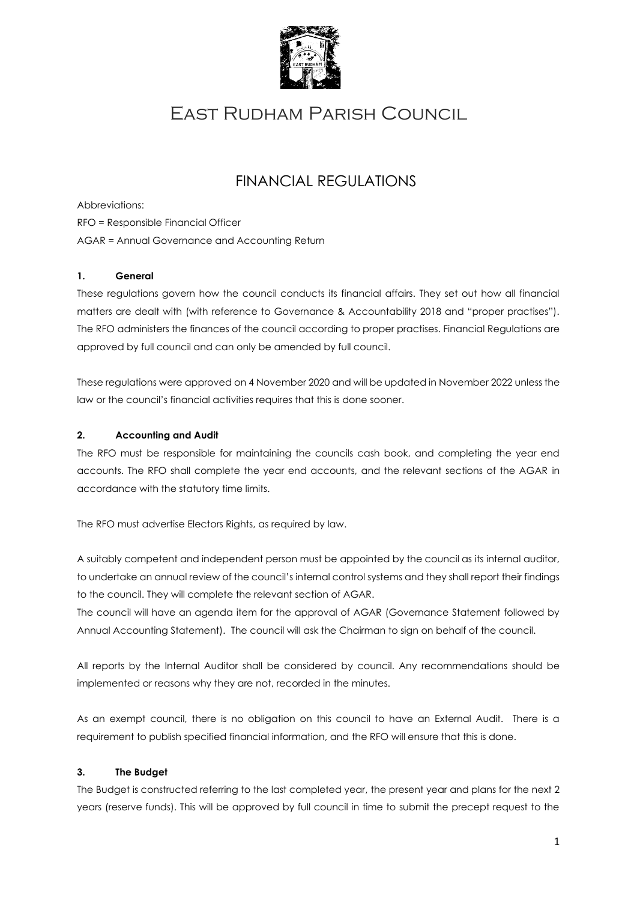

# East Rudham Parish Council

## FINANCIAL REGULATIONS

Abbreviations:

RFO = Responsible Financial Officer

AGAR = Annual Governance and Accounting Return

## **1. General**

These regulations govern how the council conducts its financial affairs. They set out how all financial matters are dealt with (with reference to Governance & Accountability 2018 and "proper practises"). The RFO administers the finances of the council according to proper practises. Financial Regulations are approved by full council and can only be amended by full council.

These regulations were approved on 4 November 2020 and will be updated in November 2022 unless the law or the council's financial activities requires that this is done sooner.

#### **2. Accounting and Audit**

The RFO must be responsible for maintaining the councils cash book, and completing the year end accounts. The RFO shall complete the year end accounts, and the relevant sections of the AGAR in accordance with the statutory time limits.

The RFO must advertise Electors Rights, as required by law.

A suitably competent and independent person must be appointed by the council as its internal auditor, to undertake an annual review of the council's internal control systems and they shall report their findings to the council. They will complete the relevant section of AGAR.

The council will have an agenda item for the approval of AGAR (Governance Statement followed by Annual Accounting Statement). The council will ask the Chairman to sign on behalf of the council.

All reports by the Internal Auditor shall be considered by council. Any recommendations should be implemented or reasons why they are not, recorded in the minutes.

As an exempt council, there is no obligation on this council to have an External Audit. There is a requirement to publish specified financial information, and the RFO will ensure that this is done.

## **3. The Budget**

The Budget is constructed referring to the last completed year, the present year and plans for the next 2 years (reserve funds). This will be approved by full council in time to submit the precept request to the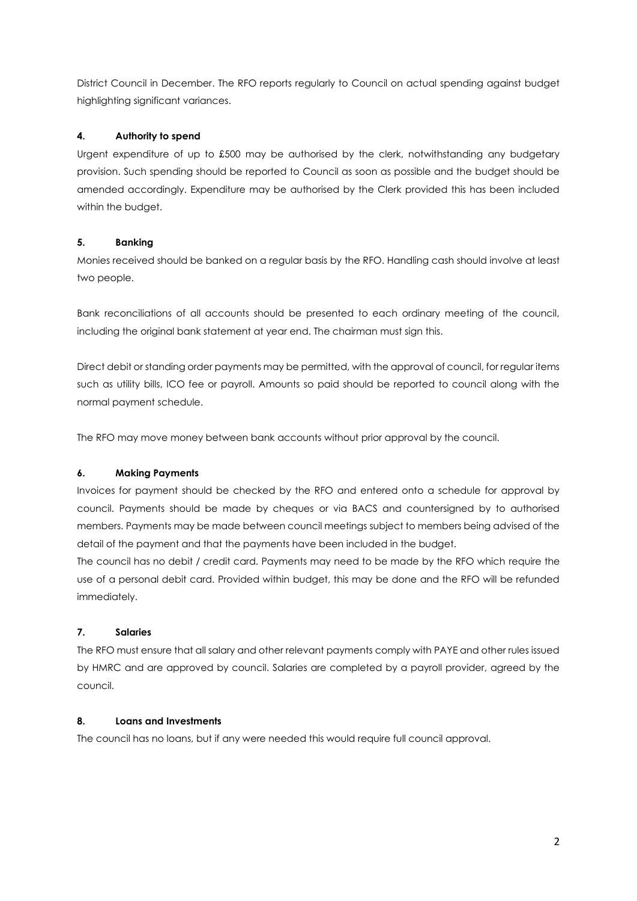District Council in December. The RFO reports regularly to Council on actual spending against budget highlighting significant variances.

## **4. Authority to spend**

Urgent expenditure of up to £500 may be authorised by the clerk, notwithstanding any budgetary provision. Such spending should be reported to Council as soon as possible and the budget should be amended accordingly. Expenditure may be authorised by the Clerk provided this has been included within the budget.

## **5. Banking**

Monies received should be banked on a regular basis by the RFO. Handling cash should involve at least two people.

Bank reconciliations of all accounts should be presented to each ordinary meeting of the council, including the original bank statement at year end. The chairman must sign this.

Direct debit or standing order payments may be permitted, with the approval of council, for regular items such as utility bills, ICO fee or payroll. Amounts so paid should be reported to council along with the normal payment schedule.

The RFO may move money between bank accounts without prior approval by the council.

## **6. Making Payments**

Invoices for payment should be checked by the RFO and entered onto a schedule for approval by council. Payments should be made by cheques or via BACS and countersigned by to authorised members. Payments may be made between council meetings subject to members being advised of the detail of the payment and that the payments have been included in the budget.

The council has no debit / credit card. Payments may need to be made by the RFO which require the use of a personal debit card. Provided within budget, this may be done and the RFO will be refunded immediately.

## **7. Salaries**

The RFO must ensure that all salary and other relevant payments comply with PAYE and other rules issued by HMRC and are approved by council. Salaries are completed by a payroll provider, agreed by the council.

## **8. Loans and Investments**

The council has no loans, but if any were needed this would require full council approval.